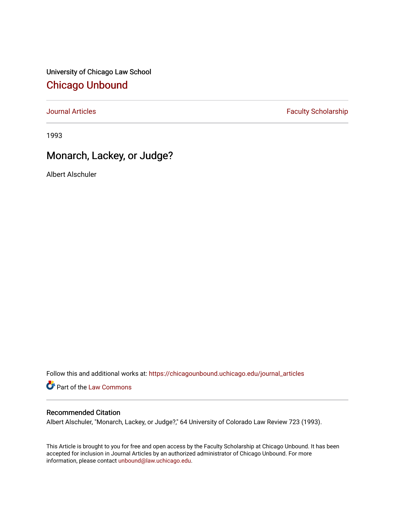University of Chicago Law School [Chicago Unbound](https://chicagounbound.uchicago.edu/)

[Journal Articles](https://chicagounbound.uchicago.edu/journal_articles) **Faculty Scholarship Faculty Scholarship** 

1993

## Monarch, Lackey, or Judge?

Albert Alschuler

Follow this and additional works at: [https://chicagounbound.uchicago.edu/journal\\_articles](https://chicagounbound.uchicago.edu/journal_articles?utm_source=chicagounbound.uchicago.edu%2Fjournal_articles%2F994&utm_medium=PDF&utm_campaign=PDFCoverPages) 

Part of the [Law Commons](http://network.bepress.com/hgg/discipline/578?utm_source=chicagounbound.uchicago.edu%2Fjournal_articles%2F994&utm_medium=PDF&utm_campaign=PDFCoverPages)

## Recommended Citation

Albert Alschuler, "Monarch, Lackey, or Judge?," 64 University of Colorado Law Review 723 (1993).

This Article is brought to you for free and open access by the Faculty Scholarship at Chicago Unbound. It has been accepted for inclusion in Journal Articles by an authorized administrator of Chicago Unbound. For more information, please contact [unbound@law.uchicago.edu](mailto:unbound@law.uchicago.edu).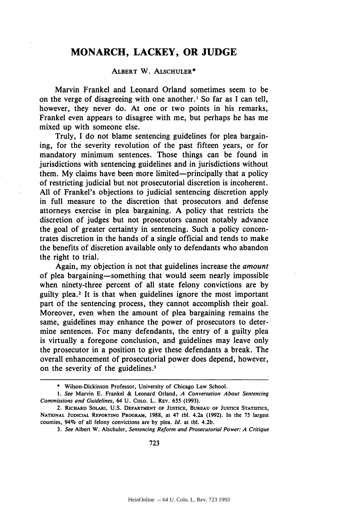## **MONARCH, LACKEY, OR JUDGE**

## **ALBERT** W. **ALSCHULER\***

Marvin Frankel and Leonard Orland sometimes seem to be on the verge of disagreeing with one another.<sup>1</sup> So far as I can tell, however, they never do. At one or two points in his remarks, Frankel even appears to disagree with me, but perhaps he has me mixed up with someone else.

Truly, I do not blame sentencing guidelines for plea bargaining, for the severity revolution of the past fifteen years, or for mandatory minimum sentences. Those things can be found in jurisdictions with sentencing guidelines and in jurisdictions without them. My claims have been more limited-principally that a policy of restricting judicial but not prosecutorial discretion is incoherent. All of Frankel's objections to judicial sentencing discretion apply in full measure to the discretion that prosecutors and defense attorneys exercise in plea bargaining. A policy that restricts the discretion of judges but not prosecutors cannot notably advance the goal of greater certainty in sentencing. Such a policy concentrates discretion in the hands of a single official and tends to make the benefits of discretion available only to defendants who abandon the right to trial.

Again, my objection is not that guidelines increase the *amount* of plea bargaining-something that would seem nearly impossible when ninety-three percent of all state felony convictions are by guilty plea. 2 It is that when guidelines ignore the most important part of the sentencing process, they cannot accomplish their goal. Moreover, even when the amount of plea bargaining remains the same, guidelines may enhance the power of prosecutors to deter-' mine sentences. For many defendants, the entry of a guilty plea is virtually a foregone conclusion, and guidelines may leave only the prosecutor in a position to give these defendants a break. The overall enhancement of prosecutorial power does depend, however, on the severity of the guidelines.<sup>3</sup>

**<sup>\*</sup>** Wilson-Dickinson Professor, University of Chicago Law School.

*<sup>1.</sup>* See Marvin **E.** Frankel **&** Leonard Orland, *A Conversation About Sentencing* Commissions and Guidelines, 64 **U.** COLO. L. REv. 655 **(1993).**

<sup>2.</sup> **RICHARD** SOLARI, **U.S. DEPARTMENT** OF **JUSTICE, BUREAU OF JUSTICE STATISTICS, NATIONAL JUDICIAL REPORTING PROGRAM, 1988,** at 47 **tbl. 4.2a (1992). In** the 75 largest **counties, 94% of all felony convictions are by plea.** *Id.* **at tbl. 4.2b.**

*<sup>3.</sup> See* **Albert W. Alschuler,** *Sentencing Reform and Prosecutorial Power: A Critique*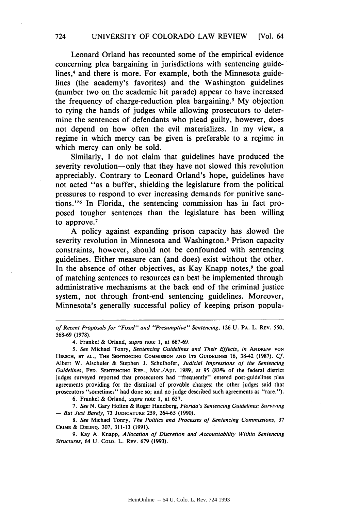Leonard Orland has recounted some of the empirical evidence concerning plea bargaining in jurisdictions with sentencing guidelines,<sup>4</sup> and there is more. For example, both the Minnesota guidelines (the academy's favorites) and the Washington guidelines (number two on the academic hit parade) appear to have increased the frequency of charge-reduction plea bargaining.' My objection to tying the hands of judges while allowing prosecutors to determine the sentences of defendants who plead guilty, however, does not depend on how often the evil materializes. In my view, a regime in which mercy can be given is preferable to a regime in which mercy can only be sold.

Similarly, I do not claim that guidelines have produced the severity revolution—only that they have not slowed this revolution appreciably. Contrary to Leonard Orland's hope, guidelines have not acted "as a buffer, shielding the legislature from the political pressures to respond to ever increasing demands for punitive sanctions." In Florida, the sentencing commission has in fact proposed tougher sentences than the legislature has been willing to approve. 7

A policy against expanding prison capacity has slowed the severity revolution in Minnesota and Washington.<sup>8</sup> Prison capacity constraints, however, should not be confounded with sentencing guidelines. Either measure can (and does) exist without the other. In the absence of other objectives, as Kay Knapp notes,<sup>9</sup> the goal of matching sentences to resources can best be implemented through administrative mechanisms at the back end of the criminal justice system, not through front-end sentencing guidelines. Moreover, Minnesota's generally successful policy of keeping prison popula-

of Recent Proposals for "Fixed" and "Presumptive" Sentencing, **126 U.** PA. L. **REV. 550, 568-69 (1978).**

4. Frankel **&** Orland, supra note **1,** at **667-69.**

**5.** See Michael Tonry, Sentencing Guidelines and Their Effects, in **ANDREW VON HIRSCH, ET AL., THE SENTENCING COMMSSION AND ITS GUIDELINES** 16, 38-42 **(1987). Cf.** Albert W. Alschuler & Stephen **J.** Schulhofer, Judicial Impressions of the Sentencing Guidelines, FED. SENTENCING REP., Mar./Apr. 1989, at 95 (83% of the federal district judges surveyed reported that prosecutors had "frequently" entered post-guidelines plea agreements providing for the dismissal of provable charges; the other judges said that prosecutors "sometimes" had done so; and no judge described such agreements as "rare.").

6. Frankel & Orland, supra note **1,** at 657.

*7.* See N. Gary Holten & Roger Handberg, Florida's Sentencing Guidelines: Surviving - But Just Barely, 73 **JUDICATURE** 259, 264-65 (1990).

*8.* See Michael Tonry, The Politics *and* Processes of Sentencing Commissions, 37 CRIME & DELINQ. 307, 311-13 (1991).

9. Kay A. Knapp, Allocation of Discretion and Accountability Within Sentencing Structures, 64 U. COLO. L. REV. 679 (1993).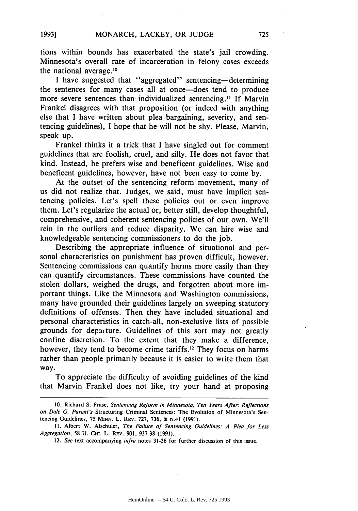tions within bounds has exacerbated the state's jail crowding. Minnesota's overall rate of incarceration in felony cases exceeds the national average.<sup>10</sup>

I have suggested that "aggregated" sentencing-determining the sentences for many cases all at once-does tend to produce more severe sentences than individualized sentencing." If Marvin Frankel disagrees with that proposition (or indeed with anything else that I have written about plea bargaining, severity, and sentencing guidelines), I hope that he will not be shy. Please, Marvin, speak up.

Frankel thinks it a trick that I have singled out for comment guidelines that are foolish, cruel, and silly. He does not favor that kind. Instead, he prefers wise and beneficent guidelines. Wise and beneficent guidelines, however, have not been easy to come by.

At the outset of the sentencing reform movement, many of us did not realize that. Judges, we said, must have implicit sentencing policies. Let's spell these policies out or even improve them. Let's regularize the actual or, better still, develop thoughtful, comprehensive, and coherent sentencing policies of our own. We'll rein in the outliers and reduce disparity. We can hire wise and knowledgeable sentencing commissioners to do the job.

Describing the appropriate influence of situational and personal characteristics on punishment has proven difficult, however. Sentencing commissions can quantify harms more easily than they can quantify circumstances. These commissions have counted the stolen dollars, weighed the drugs, and forgotten about more important things. Like the Minnesota and Washington commissions, many have grounded their guidelines largely on sweeping statutory definitions of offenses. Then they have included situational and personal characteristics in catch-all, non-exclusive lists of possible grounds for depar'ture. Guidelines of this sort may not greatly confine discretion. To the extent that they make a difference, however, they tend to become crime tariffs.<sup>12</sup> They focus on harms rather than people primarily because it is easier to write them that way.

To appreciate the difficulty of avoiding guidelines of the kind that Marvin Frankel does not like, try your hand at proposing

**1993]**

<sup>10.</sup> Richard S. Frase, Sentencing Reform in Minnesota, Ten Years After: Reflections on Dale G. Parent's Structuring Criminal Sentences: The Evolution of Minnesota's Sentencing Guidelines, 75 **MINN.** L. REv. 727, 736, & n.41 (1991).

<sup>11.</sup> Albert W. Alschuler, The Failure of Sentencing Guidelines: **A** Plea for Less Aggregation, 58 U. Cm. L. REv. 901, 937-38 (1991).

<sup>12.</sup> See text accompanying infra notes 31-36 for further discussion of this issue.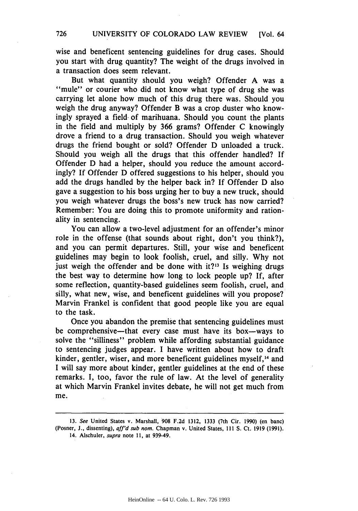726 UNIVERSITY OF COLORADO LAW REVIEW [Vol. 64

wise and beneficent sentencing guidelines for drug cases. Should you start with drug quantity? The weight of the drugs involved in a transaction does seem relevant.

But what quantity should you weigh? Offender A was a ''mule" or courier who did not know what type of drug she was carrying let alone how much of this drug there was. Should you weigh the drug anyway? Offender B was a crop duster who knowingly sprayed a field of marihuana. Should you count the plants in the field and multiply by 366 grams? Offender C knowingly drove a friend to a drug transaction. Should you weigh whatever drugs the friend bought or sold? Offender D unloaded a truck. Should you weigh all the drugs that this offender handled? If Offender D had a helper, should you reduce the amount accordingly? If Offender D offered suggestions to his helper, should you add the drugs handled by the helper back in? If Offender D also gave a suggestion to his boss urging her to buy a new truck, should you weigh whatever drugs the boss's new truck has now carried? Remember: You are doing this to promote uniformity and rationality in sentencing.

You can allow a two-level adjustment for an offender's minor role in the offense (that sounds about right, don't you think?), and you can permit departures. Still, your wise and beneficent guidelines may begin to look foolish, cruel, and silly. Why not just weigh the offender and be done with  $it$ ?<sup>13</sup> Is weighing drugs the best way to determine how long to lock people up? If, after some reflection, quantity-based guidelines seem foolish, cruel, and silly, what new, wise, and beneficent guidelines will you propose? Marvin Frankel is confident that good people like you are equal to the task.

Once you abandon the premise that sentencing guidelines must be comprehensive-that every case must have its box-ways to solve the "silliness" problem while affording substantial guidance to sentencing judges appear. I have written about how to draft kinder, gentler, wiser, and more beneficent guidelines myself,<sup>14</sup> and I will say more about kinder, gentler guidelines at the end of these remarks. I, too, favor the rule of law. At the level of generality at which Marvin Frankel invites debate, he will not get much from me.

<sup>13.</sup> See United States v. Marshall, 908 F.2d 1312, 1333 (7th Cir. 1990) (en banc) (Posner, **J.,** dissenting), aff'd sub nom. Chapman v. United States, 111 **S.** Ct. **1919 (1991).** 14. Alschuler, supra note 11, at 939-49.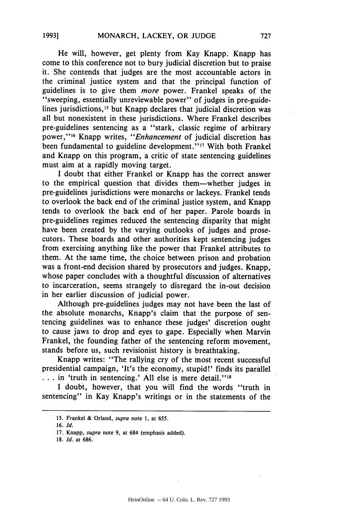He will, however, get plenty from Kay Knapp. Knapp has come to this conference not to bury judicial discretion but to praise it. She contends that judges are the most accountable actors in the criminal justice system and that the principal function of guidelines is to give them *more* power. Frankel speaks of the "sweeping, essentially unreviewable power" of judges in pre-guidelines jurisdictions,<sup>15</sup> but Knapp declares that judicial discretion was all but nonexistent in these jurisdictions. Where Frankel describes pre-guidelines sentencing as a "stark, classic regime of arbitrary power,' **'16** Knapp writes, *"Enhancement* of judicial discretion has been fundamental to guideline development."<sup>17</sup> With both Frankel and Knapp on this program, a critic of state sentencing guidelines must aim at a rapidly moving target.

I doubt that either Frankel or Knapp has the correct answer to the empirical question that divides them-whether judges in pre-guidelines jurisdictions were monarchs or lackeys. Frankel tends to overlook the back end of the criminal justice system, and Knapp tends to overlook the back end of her paper. Parole boards in pre-guidelines regimes reduced the sentencing disparity that might have been created by the varying outlooks of judges and prosecutors. These boards and other authorities kept sentencing judges from exercising anything like the power that Frankel attributes to them. At the same time, the choice between prison and probation was a front-end decision shared by prosecutors and judges. Knapp, whose paper concludes with a thoughtful discussion of alternatives to incarceration, seems strangely to disregard the in-out decision in her earlier discussion of judicial power.

Although pre-guidelines judges may not have been the last of the absolute monarchs, Knapp's claim that the purpose of sentencing guidelines was to enhance these judges' discretion ought to cause jaws to drop and eyes to gape. Especially when Marvin Frankel, the founding father of the sentencing reform movement, stands before us, such revisionist history is breathtaking.

Knapp writes: "The rallying cry of the most recent successful presidential campaign, 'It's the economy, stupid!' finds its parallel ... in 'truth in sentencing.' All else is mere detail."<sup>18</sup>

I doubt, however, that you will find the words "truth in sentencing" in Kay Knapp's writings or in the statements of the

**1993]**

**<sup>15.</sup>** Frankel & Orland, *supra* note **1,** at 655.

<sup>16.</sup> **Id.**

<sup>17.</sup> Knapp, *supra* note 9, at 684 (emphasis added).

**<sup>18.</sup> Id.** at 686.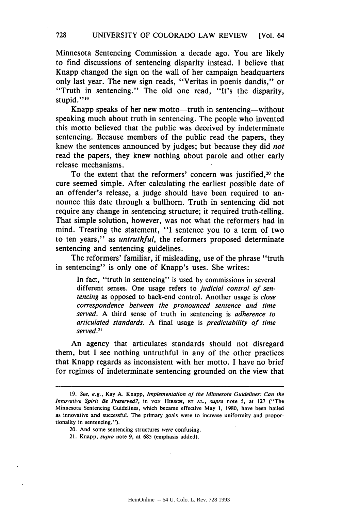Minnesota Sentencing Commission a decade ago. You are likely to find discussions of sentencing disparity instead. **I** believe that Knapp changed the sign on the wall of her campaign headquarters only last year. The new sign reads, "Veritas in poenis dandis," or "Truth in sentencing." The old one read, "It's the disparity, stupid."<sup>19</sup>

Knapp speaks of her new motto—truth in sentencing—without speaking much about truth in sentencing. The people who invented this motto believed that the public was deceived **by** indeterminate sentencing. Because members of the public read the papers, they knew the sentences announced **by** judges; but because they did *not* read the papers, they knew nothing about parole and other early release mechanisms.

To the extent that the reformers' concern was justified,<sup>20</sup> the cure seemed simple. After calculating the earliest possible date of an offender's release, a judge should have been required to announce this date through a bullhorn. Truth in sentencing did not require any change in sentencing structure; it required truth-telling. That simple solution, however, was not what the reformers had in mind. Treating the statement, "I sentence you to a term of two to ten years," as *untruthful,* the reformers proposed determinate sentencing and sentencing guidelines.

The reformers' familiar, if misleading, use of the phrase "truth in sentencing" is only one of Knapp's uses. She writes:

In fact, "truth in sentencing" is used **by** commissions in several different senses. One usage refers to *judicial control of sentencing* as opposed to back-end control. Another usage is close *correspondence between the pronounced sentence and* time served. A third sense of truth in sentencing is adherence *to* articulated standards. **A** final usage is predictability of time served.<sup>21</sup>

An agency that articulates standards should not disregard them, but **I** see nothing untruthful in any of the other practices that Knapp regards as inconsistent with her motto. I have no brief for regimes of indeterminate sentencing grounded on the view that

21. Knapp, *supra* note 9, at **685** (emphasis added).

**<sup>19.</sup>** *See, e.g.,* **Kay A.** Knapp, *Implementation of the Minnesota* Guidelines: Can the *Innovative Spirit Be Preserved?,* in **VON HIRSCH, ET AL.,** *supra* note **5,** at **127** ("The Minnesota Sentencing Guidelines, which became effective May 1, 1980, have been hailed as innovative and successful. The primary goals were to increase uniformity and proportionality in sentencing.").

<sup>20.</sup> And some sentencing structures *were* confusing.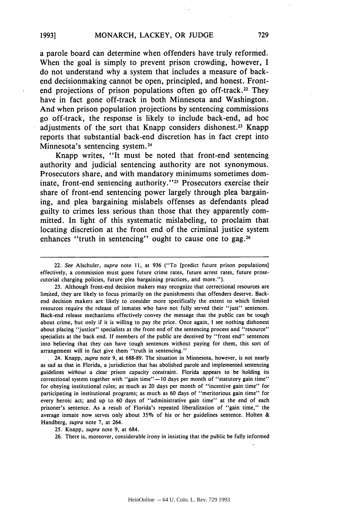a parole board can determine when offenders have truly reformed. When the goal is simply to prevent prison crowding, however, **I** do not understand why a system that includes a measure of backend decisionmaking cannot be open, principled, and honest. Frontend projections of prison populations often go off-track.<sup>22</sup> They have in fact gone off-track in both Minnesota and Washington. And when prison population projections **by** sentencing commissions go off-track, the response is likely to include back-end, ad hoc adjustments of the sort that Knapp considers dishonest.<sup>23</sup> Knapp reports that substantial back-end discretion has in fact crept into Minnesota's sentencing system.<sup>24</sup>

Knapp writes, **"It** must be noted that front-end sentencing authority and judicial sentencing authority are not synonymous. Prosecutors share, and with mandatory minimums sometimes dominate, front-end sentencing authority."<sup>25</sup> Prosecutors exercise their share of front-end sentencing power largely through plea bargaining, and plea bargaining mislabels offenses as defendants plead guilty to crimes less serious than those that they apparently committed. In light of this systematic mislabeling, to proclaim that locating discretion at the front end of the criminal justice system enhances "truth in sentencing" ought to cause one to **gag. <sup>26</sup>**

24. Knapp, *supra* note 9, at 688-89. The situation in Minnesota, however, is not nearly as sad as that in Florida, a jurisdiction that has abolished parole and implemented sentencing guidelines *without* a clear prison capacity constraint. Florida appears to be holding its correctional system together with "gain time"- 10 days per month of "statutory gain time" for obeying institutional rules; as much as 20 days per month of "incentive gain time" for participating in institutional programs; as much as 60 days of "meritorious gain time" for every heroic act; and up to 60 days of "administrative gain time" at the end of each prisoner's sentence. As a result of Florida's repeated liberalization of "gain time," the average inmate now serves only about **35%** of his or her guidelines sentence. Holten & Handberg, *supra* note 7, at 264.

25. Knapp, *supra* note 9, at 684.

26. There is, moreover, considerable irony in insisting that the public be fully informed

<sup>22.</sup> *See* Alschuler, *supra* note II, at 936 ("To [predict future prison populations] effectively, a commission must guess future crime rates, future arrest rates, future prosecutorial charging policies, future plea bargaining practices, and more.").

<sup>23.</sup> Although front-end decision makers may recognize that correctional resources are limited, they are likely to focus primarily on the punishments that offenders deserve. Backend decision makers are likely to consider more specifically the extent to which limited resources require the release of inmates who have not fully served their "just" sentences. Back-end release mechanisms effectively convey the message that the public can be tough about crime, but only if it is willing to pay the price. Once again, I see nothing dishonest about placing "justice" specialists at the front end of the sentencing process and "resource" specialists at the back end. If members of the public are deceived by "front end" sentences into believing that they can have tough sentences without paying for them, this sort of arrangement will in fact give them "truth in sentencing."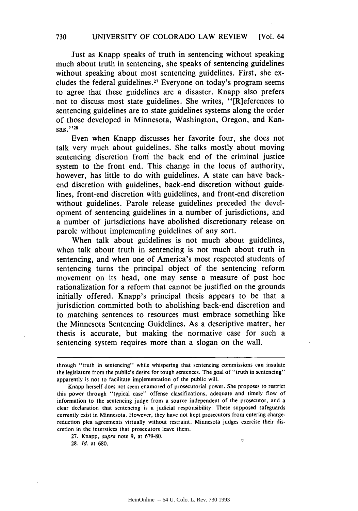Just as Knapp speaks of truth in sentencing without speaking much about truth in sentencing, she speaks of sentencing guidelines without speaking about most sentencing guidelines. First, she excludes the federal guidelines. 27 Everyone on today's program seems to agree that these guidelines are a disaster. Knapp also prefers not to discuss most state guidelines. She writes, "[R] eferences to sentencing guidelines are to state guidelines systems along the order of those developed in Minnesota, Washington, Oregon, and Kansas."<sup>28</sup>

Even when Knapp discusses her favorite four, she does not talk very much about guidelines. She talks mostly about moving sentencing discretion from the back end of the criminal justice system to the front end. This change in the locus of authority, however, has little to do with guidelines. A state can have backend discretion with guidelines, back-end discretion without guidelines, front-end discretion with guidelines, and front-end discretion without guidelines. Parole release guidelines preceded the development of sentencing guidelines in a number of jurisdictions, and a number of jurisdictions have abolished discretionary release on parole without implementing guidelines of any sort.

When talk about guidelines is not much about guidelines, when talk about truth in sentencing is not much about truth in sentencing, and when one of America's most respected students of sentencing turns the principal object of the sentencing reform movement on its head, one may sense a measure of post hoc rationalization for a reform that cannot be justified on the grounds initially offered. Knapp's principal thesis appears to be that a jurisdiction committed both to abolishing back-end discretion and to matching sentences to resources must embrace something like the Minnesota Sentencing Guidelines. As a descriptive matter, her thesis is accurate, but making the normative case for such a sentencing system requires more than a slogan on the wall.

 $\sigma$ 

through "truth in sentencing" while whispering that sentencing commissions can insulate the legislature from the public's desire for tough sentences. The goal of "truth in sentencing" apparently is not to facilitate implementation of the public will.

Knapp herself does not seem enamored of prosecutorial power. She proposes to restrict this power through "typical case" offense classifications, adequate and timely flow of information to the sentencing judge from a source independent of the prosecutor, and a clear declaration that sentencing is a judicial responsibility. These supposed safeguards currently exist in Minnesota. However, they have not kept prosecutors from entering chargereduction plea agreements virtually without restraint. Minnesota judges exercise their discretion in the interstices that prosecutors leave them.

<sup>27.</sup> Knapp, supra note **9,** at 679-80.

**<sup>28.</sup>** *Id.* at 680.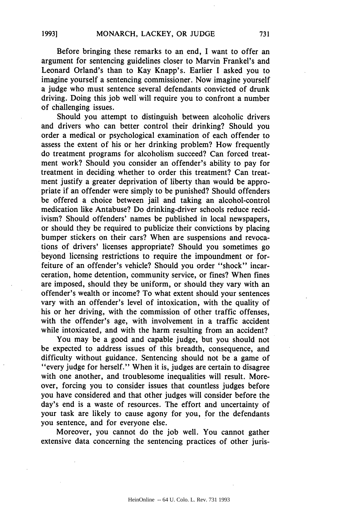Before bringing these remarks to an end, I want to offer an argument for sentencing guidelines closer to Marvin Frankel's and Leonard Orland's than to Kay Knapp's. Earlier I asked you to imagine yourself a sentencing commissioner. Now imagine yourself a judge who must sentence several defendants convicted of drunk driving. Doing this job well'will require you to confront a number of challenging issues.

Should you attempt to distinguish between alcoholic drivers and drivers who can better control their drinking? Should you order a medical or psychological examination of each offender to assess the extent of his or her drinking problem? How frequently do treatment programs for alcoholism succeed? Can forced treatment work? Should you consider an offender's ability to pay for treatment in deciding whether to order this treatment? Can treatment justify a greater deprivation of liberty than would be appropriate if an offender were simply to be punished? Should offenders be offered a choice between jail and taking an alcohol-control medication like Antabuse? Do drinking-driver schools reduce recidivism? Should offenders' names be published in local newspapers, or should they be required to publicize their convictions by placing bumper stickers on their cars? When are suspensions and revocations of drivers' licenses appropriate? Should you sometimes go beyond licensing restrictions to require the impoundment or forfeiture of an offender's vehicle? Should you order "shock" incarceration, home detention, community service, or fines? When fines are imposed, should they be uniform, or should they vary with an offender's wealth or income? To what extent should your sentences vary with an offender's level of intoxication, with the quality of his or her driving, with the commission of other traffic offenses, with the offender's age, with involvement in a traffic accident while intoxicated, and with the harm resulting from an accident?

You may be a good and capable judge, but you should not be expected to address issues of this breadth, consequence, and difficulty without guidance. Sentencing should not be a game of "every judge for herself." When it is, judges are certain to disagree with one another, and troublesome inequalities will result. Moreover, forcing you to consider issues that countless judges before you have considered and that other judges will consider before the day's end is a waste of resources. The effort and uncertainty of your task are likely to cause agony for you, for the defendants you sentence, and for everyone else.

Moreover, you cannot do the job well. You cannot gather extensive data concerning the sentencing practices of other juris-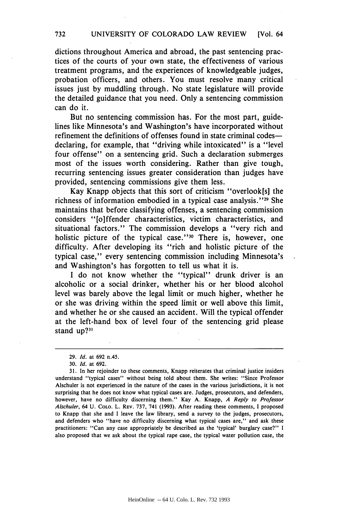dictions throughout America and abroad, the past sentencing practices of the courts of your own state, the effectiveness of various treatment programs, and the experiences of knowledgeable judges, probation officers, and others. You must resolve many critical issues just by muddling through. No state legislature will provide the detailed guidance that you need. Only a sentencing commission can do it.

But no sentencing commission has. For the most part, guidelines like Minnesota's and Washington's have incorporated without refinement the definitions of offenses found in state criminal codes declaring, for example, that "driving while intoxicated" is a "level" four offense" on a sentencing grid. Such a declaration submerges most of the issues worth considering. Rather than give tough, recurring sentencing issues greater consideration than judges have provided, sentencing commissions give them less.

Kay Knapp objects that this sort of criticism "overlook[s] the richness of information embodied in a typical case analysis."<sup>29</sup> She maintains that before classifying offenses, a sentencing commission considers "[o]ffender characteristics, victim characteristics, and situational factors." The commission develops a "very rich and holistic picture of the typical case."<sup>30</sup> There is, however, one difficulty. After developing its "rich and holistic picture of the typical case," every sentencing commission including Minnesota's and Washington's has forgotten to tell us what it is.

I do not know whether the "typical" drunk driver is an alcoholic or a social drinker, whether his or her blood alcohol level was barely above the legal limit or much higher, whether he or she was driving within the speed limit or well above this limit, and whether he or she caused an accident. Will the typical offender at the left-hand box of level four of the sentencing grid please stand up?<sup>31</sup>

<sup>29.</sup> *Id.* at 692 n.45.

<sup>30.</sup> *Id.* at 692.

<sup>31.</sup> In her rejoinder to these comments, Knapp reiterates that criminal justice insiders understand "typical cases" without being told about them. She writes: "Since Professor Alschuler is not experienced in the nature of the cases in the various jurisdictions, it is not surprising that he does not know what typical cases are. Judges, prosecutors, and defenders, however, have no difficulty discerning them." Kay A. Knapp, *A Reply to Professor Alschuler,* 64 U. CoLo. L. REv. 737, 741 (1993). After reading these comments, I proposed to Knapp that she and I leave the law library, send a survey to the judges, prosecutors, and defenders who "have no difficulty discerning what typical cases are," and ask these practitioners: "Can any case appropriately be described as the 'typical' burglary case?" I also proposed that we ask about the typical rape case, the typical water pollution case, the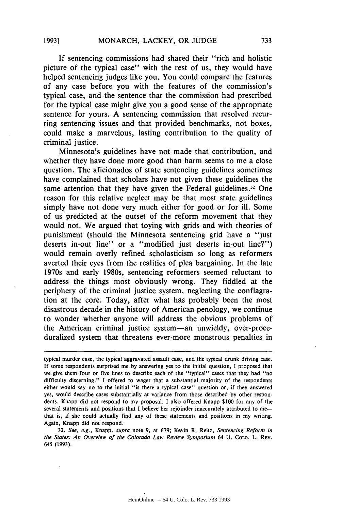**If** sentencing commissions had shared their "rich and holistic picture of the typical case" with the rest of us, they would have helped sentencing judges like you. You could compare the features of any case before you with the features of the commission's typical case, and the sentence that the commission had prescribed for the typical case might give you a good sense of the appropriate sentence for yours. **A** sentencing commission that resolved recurring sentencing issues and that provided benchmarks, not boxes, could make a marvelous, lasting contribution to the quality of criminal justice.

Minnesota's guidelines have not made that contribution, and whether they have done more good than harm seems to me a close question. The aficionados of state sentencing guidelines sometimes have complained that scholars have not given these guidelines the same attention that they have given the Federal guidelines.<sup>32</sup> One reason for this relative neglect may be that most state guidelines simply have not done very much either for good or for ill. Some of us predicted at the outset of the reform movement that they would not. We argued that toying with grids and with theories of punishment (should the Minnesota sentencing grid have a "just deserts in-out line" or a "modified just deserts in-out line?") would remain overly refined scholasticism so long as reformers averted their eyes from the realities of plea bargaining. In the late 1970s and early 1980s, sentencing reformers seemed reluctant to address the things most obviously wrong. They fiddled at the periphery of the criminal justice system, neglecting the conflagration at the core. Today, after what has probably been the most disastrous decade in the history of American penology, we continue to wonder whether anyone will address the obvious problems of the American criminal justice system-an unwieldy, over-proceduralized system that threatens ever-more monstrous penalties in

typical murder case, the typical aggravated assault case, and the typical drunk driving case. **If** some respondents surprised me **by** answering yes to the initial question, **I** proposed that we give them four or five lines to describe each of the "typical" cases that they had "no difficulty discerning." I offered to wager that a substantial majority of the respondents either would say no to the initial "is there a typical case" question or, if they answered yes, would describe cases substantially at variance from those described **by** other respondents. Knapp did not respond to my proposal. **I** also offered Knapp **\$100** for any of the several statements and positions that I believe her rejoinder inaccurately attributed to methat is, if she could actually find any of these statements and positions in my writing. Again, Knapp did not respond.

**<sup>32.</sup>** *See, e.g.,* Knapp, *supra* note **9,** at **679;** Kevin R. Reitz, *Sentencing Reform in the States: An* **Overview** *of the Colorado Law Review* **Symposium** 64 **U. CoLo.** L. REv. 645 **(1993).**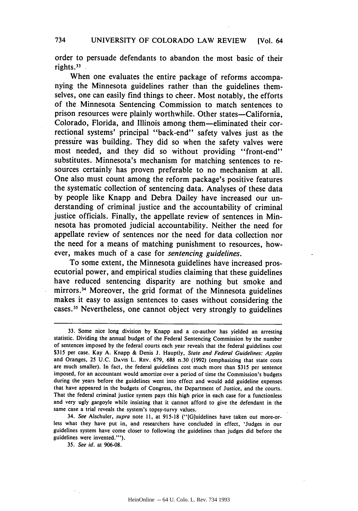order to persuade defendants to abandon the most basic of their rights.33

When one evaluates the entire package of reforms accompanying the Minnesota guidelines rather than the guidelines themselves, one can easily find things to cheer. Most notably, the efforts of the Minnesota Sentencing Commission to match sentences to prison resources were plainly worthwhile. Other states—California, Colorado, Florida, and Illinois among them-eliminated their correctional systems' principal "back-end" safety valves just as the pressire was building. They did so when the safety valves were most needed, and they did so without providing "front-end" substitutes. Minnesota's mechanism for matching sentences to resources certainly has proven preferable to no mechanism at all. One also must count among the reform package's positive features the systematic collection of sentencing data. Analyses of these data **by** people like Knapp and Debra Dailey have increased our understanding of criminal justice and the accountability of criminal justice officials. Finally, the appellate review of sentences in Minnesota has promoted judicial accountability. Neither the need for appellate review of sentences nor the need for data collection nor the need for a means of matching punishment to resources, however, makes much of a case for *sentencing guidelines.*

To some extent, the Minnesota guidelines have increased prosecutorial power, and empirical studies claiming that these guidelines have reduced sentencing disparity are nothing but smoke and mirrors.34 Moreover, the grid format of the Minnesota guidelines makes it easy to assign sentences to cases without considering the cases." Nevertheless, one cannot object very strongly to guidelines

34. **See** Alschuler, supra note **11,** at **915-18** ("[G]uidelines have taken out more-orless what they have put in, and researchers have concluded in effect, 'Judges in our guidelines system have come closer to following the guidelines than judges did before the guidelines were invented."').

**35.** See id. at **906-08.**

**<sup>33.</sup>** Some nice long division **by** Knapp and a co-author has yielded an arresting statistic. Dividing the annual budget of the Federal Sentencing Commission **by** the number of sentences imposed **by** the federal courts each year reveals that the federal guidelines cost **\$315** per case. Kay **A.** Knapp **&** Denis **J.** Hauptly, **State and Federal Guidelines:** Apples and Oranges, **25 U.C.** DAvis L. **REV. 679, 688** n.30 **(1992)** (emphasizing that state costs are much smaller). In fact, the federal guidelines cost much more than **\$315** per sentence imposed, for an accountant would amortize over a period of time the Commission's budgets during the years before the guidelines went into effect and would add guideline expenses that have appeared in the budgets of Congress, the Department of Justice, and the courts. That the federal criminal justice system pays this high price in each case for a functionless and very ugly gargoyle while insisting that it cannot afford to give the defendant in the same case a trial reveals the system's topsy-turvy values.